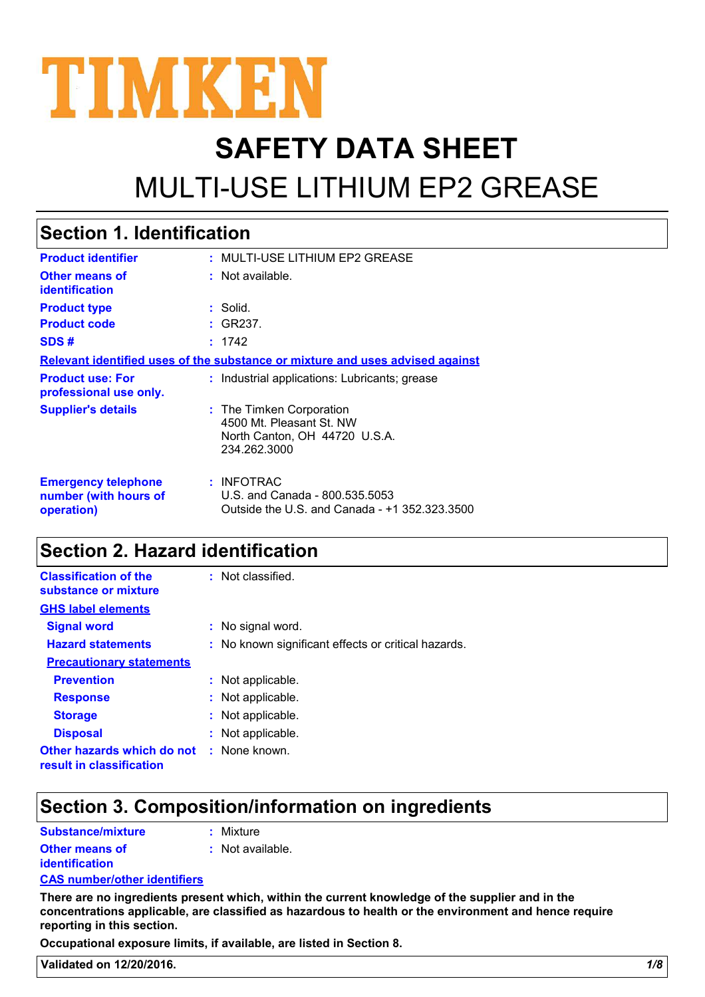

# **SAFETY DATA SHEET** MULTI-USE LITHIUM EP2 GREASE

#### MULTI-USE LITHIUM EP2 GREASE **: :** Not available. **:** Solid. : INFOTRAC U.S. and Canada - 800.535.5053 Outside the U.S. and Canada - +1 352.323.3500 **Product identifier Other means of identification Product type Emergency telephone number (with hours of operation) Section 1. Identification Supplier's details :** The Timken Corporation 4500 Mt. Pleasant St. NW North Canton, OH 44720 U.S.A. 234.262.3000 **Relevant identified uses of the substance or mixture and uses advised against Product code :** GR237. **SDS # :** 1742 **Product use: For professional use only. :** Industrial applications: Lubricants; grease

### **Section 2. Hazard identification**

| <b>Classification of the</b><br>substance or mixture   | : Not classified.                                   |
|--------------------------------------------------------|-----------------------------------------------------|
| <b>GHS label elements</b>                              |                                                     |
| <b>Signal word</b>                                     | : No signal word.                                   |
| <b>Hazard statements</b>                               | : No known significant effects or critical hazards. |
| <b>Precautionary statements</b>                        |                                                     |
| <b>Prevention</b>                                      | : Not applicable.                                   |
| <b>Response</b>                                        | : Not applicable.                                   |
| <b>Storage</b>                                         | : Not applicable.                                   |
| <b>Disposal</b>                                        | : Not applicable.                                   |
| Other hazards which do not<br>result in classification | : None known.                                       |

### **Section 3. Composition/information on ingredients**

| Substance/mixture                       | : Mixture          |
|-----------------------------------------|--------------------|
| <b>Other means of</b><br>identification | $:$ Not available. |

#### **CAS number/other identifiers**

**There are no ingredients present which, within the current knowledge of the supplier and in the concentrations applicable, are classified as hazardous to health or the environment and hence require reporting in this section.**

**Occupational exposure limits, if available, are listed in Section 8.**

**Validated on 12/20/2016.** *1/8*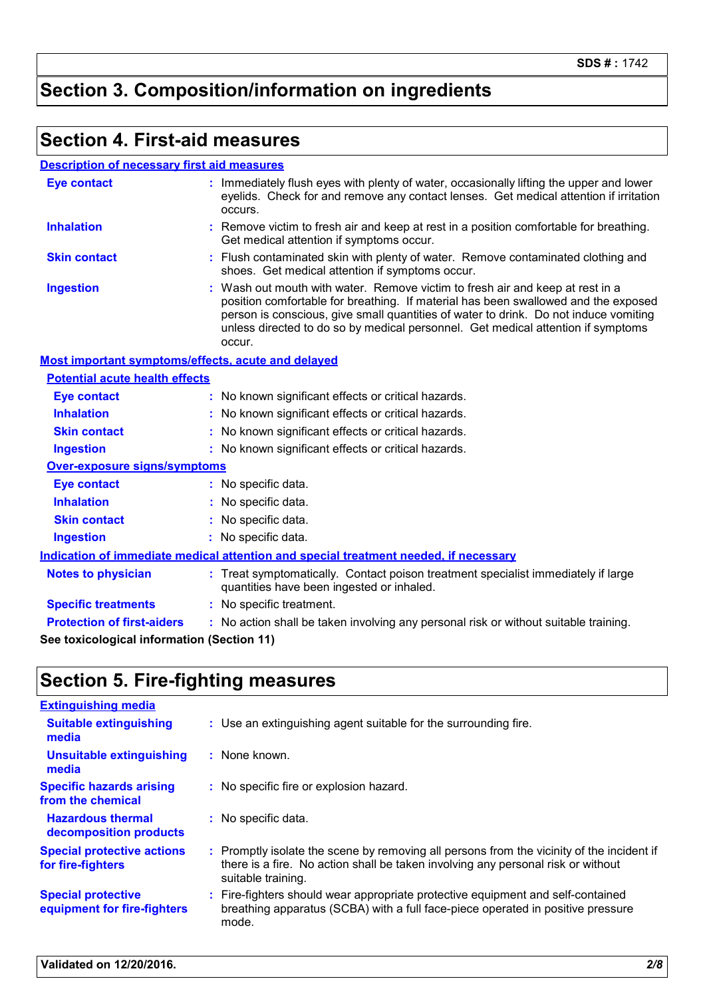### **Section 3. Composition/information on ingredients**

#### **Section 4. First-aid measures**

#### **Description of necessary first aid measures**

| <b>Eye contact</b>                                 | : Immediately flush eyes with plenty of water, occasionally lifting the upper and lower<br>eyelids. Check for and remove any contact lenses. Get medical attention if irritation<br>occurs.                                                                                                                                                               |
|----------------------------------------------------|-----------------------------------------------------------------------------------------------------------------------------------------------------------------------------------------------------------------------------------------------------------------------------------------------------------------------------------------------------------|
| <b>Inhalation</b>                                  | Remove victim to fresh air and keep at rest in a position comfortable for breathing.<br>Get medical attention if symptoms occur.                                                                                                                                                                                                                          |
| <b>Skin contact</b>                                | Flush contaminated skin with plenty of water. Remove contaminated clothing and<br>shoes. Get medical attention if symptoms occur.                                                                                                                                                                                                                         |
| <b>Ingestion</b>                                   | : Wash out mouth with water. Remove victim to fresh air and keep at rest in a<br>position comfortable for breathing. If material has been swallowed and the exposed<br>person is conscious, give small quantities of water to drink. Do not induce vomiting<br>unless directed to do so by medical personnel. Get medical attention if symptoms<br>occur. |
| Most important symptoms/effects, acute and delayed |                                                                                                                                                                                                                                                                                                                                                           |
| <b>Potential acute health effects</b>              |                                                                                                                                                                                                                                                                                                                                                           |
| <b>Eye contact</b>                                 | : No known significant effects or critical hazards.                                                                                                                                                                                                                                                                                                       |
| <b>Inhalation</b>                                  | : No known significant effects or critical hazards.                                                                                                                                                                                                                                                                                                       |
| <b>Skin contact</b>                                | : No known significant effects or critical hazards.                                                                                                                                                                                                                                                                                                       |
| <b>Ingestion</b>                                   | : No known significant effects or critical hazards.                                                                                                                                                                                                                                                                                                       |
| Over-exposure signs/symptoms                       |                                                                                                                                                                                                                                                                                                                                                           |
| <b>Eye contact</b>                                 | : No specific data.                                                                                                                                                                                                                                                                                                                                       |
| <b>Inhalation</b>                                  | : No specific data.                                                                                                                                                                                                                                                                                                                                       |
| <b>Skin contact</b>                                | : No specific data.                                                                                                                                                                                                                                                                                                                                       |
| <b>Ingestion</b>                                   | : No specific data.                                                                                                                                                                                                                                                                                                                                       |
|                                                    | Indication of immediate medical attention and special treatment needed, if necessary                                                                                                                                                                                                                                                                      |
| <b>Notes to physician</b>                          | : Treat symptomatically. Contact poison treatment specialist immediately if large<br>quantities have been ingested or inhaled.                                                                                                                                                                                                                            |
| <b>Specific treatments</b>                         | : No specific treatment.                                                                                                                                                                                                                                                                                                                                  |
| <b>Protection of first-aiders</b>                  | : No action shall be taken involving any personal risk or without suitable training.                                                                                                                                                                                                                                                                      |
| See toxicological information (Section 11)         |                                                                                                                                                                                                                                                                                                                                                           |

### **Section 5. Fire-fighting measures**

| <b>Extinguishing media</b>                               |                                                                                                                                                                                                     |
|----------------------------------------------------------|-----------------------------------------------------------------------------------------------------------------------------------------------------------------------------------------------------|
| <b>Suitable extinguishing</b><br>media                   | : Use an extinguishing agent suitable for the surrounding fire.                                                                                                                                     |
| <b>Unsuitable extinguishing</b><br>media                 | : None known.                                                                                                                                                                                       |
| <b>Specific hazards arising</b><br>from the chemical     | : No specific fire or explosion hazard.                                                                                                                                                             |
| <b>Hazardous thermal</b><br>decomposition products       | : No specific data.                                                                                                                                                                                 |
| <b>Special protective actions</b><br>for fire-fighters   | : Promptly isolate the scene by removing all persons from the vicinity of the incident if<br>there is a fire. No action shall be taken involving any personal risk or without<br>suitable training. |
| <b>Special protective</b><br>equipment for fire-fighters | : Fire-fighters should wear appropriate protective equipment and self-contained<br>breathing apparatus (SCBA) with a full face-piece operated in positive pressure<br>mode.                         |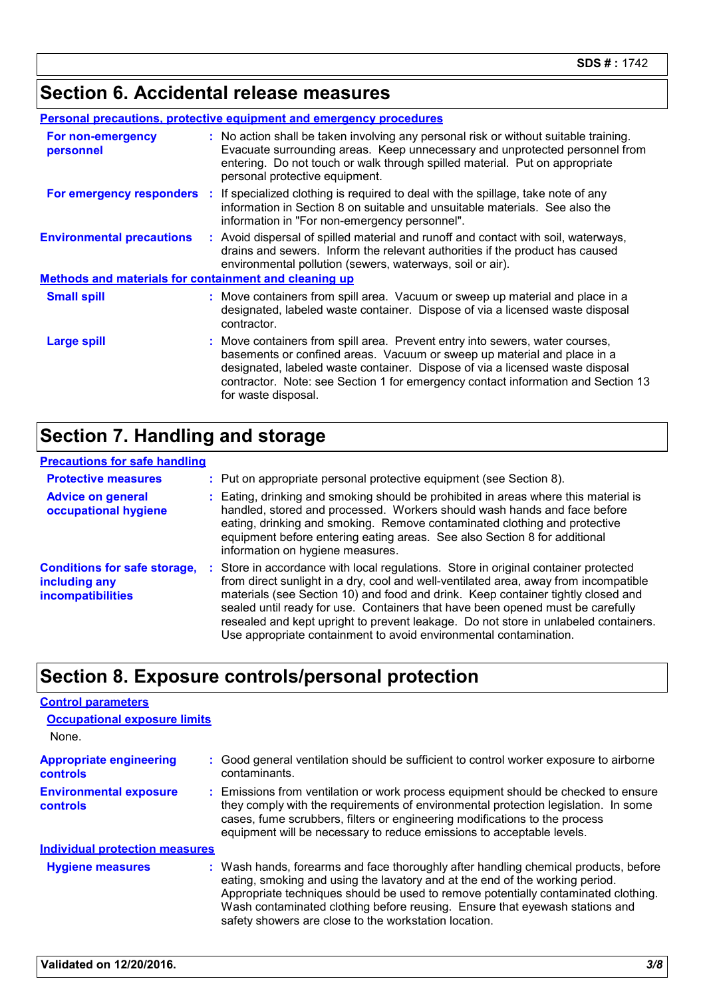### **Section 6. Accidental release measures**

|                                                              | <b>Personal precautions, protective equipment and emergency procedures</b>                                                                                                                                                                                                                                                                          |
|--------------------------------------------------------------|-----------------------------------------------------------------------------------------------------------------------------------------------------------------------------------------------------------------------------------------------------------------------------------------------------------------------------------------------------|
| For non-emergency<br>personnel                               | : No action shall be taken involving any personal risk or without suitable training.<br>Evacuate surrounding areas. Keep unnecessary and unprotected personnel from<br>entering. Do not touch or walk through spilled material. Put on appropriate<br>personal protective equipment.                                                                |
|                                                              | <b>For emergency responders</b> : If specialized clothing is required to deal with the spillage, take note of any<br>information in Section 8 on suitable and unsuitable materials. See also the<br>information in "For non-emergency personnel".                                                                                                   |
| <b>Environmental precautions</b>                             | : Avoid dispersal of spilled material and runoff and contact with soil, waterways,<br>drains and sewers. Inform the relevant authorities if the product has caused<br>environmental pollution (sewers, waterways, soil or air).                                                                                                                     |
| <b>Methods and materials for containment and cleaning up</b> |                                                                                                                                                                                                                                                                                                                                                     |
| <b>Small spill</b>                                           | : Move containers from spill area. Vacuum or sweep up material and place in a<br>designated, labeled waste container. Dispose of via a licensed waste disposal<br>contractor.                                                                                                                                                                       |
| <b>Large spill</b>                                           | : Move containers from spill area. Prevent entry into sewers, water courses,<br>basements or confined areas. Vacuum or sweep up material and place in a<br>designated, labeled waste container. Dispose of via a licensed waste disposal<br>contractor. Note: see Section 1 for emergency contact information and Section 13<br>for waste disposal. |

### **Section 7. Handling and storage**

| <b>Precautions for safe handling</b>                                             |                                                                                                                                                                                                                                                                                                                                                                                                                                                                                                               |
|----------------------------------------------------------------------------------|---------------------------------------------------------------------------------------------------------------------------------------------------------------------------------------------------------------------------------------------------------------------------------------------------------------------------------------------------------------------------------------------------------------------------------------------------------------------------------------------------------------|
| <b>Protective measures</b>                                                       | : Put on appropriate personal protective equipment (see Section 8).                                                                                                                                                                                                                                                                                                                                                                                                                                           |
| <b>Advice on general</b><br>occupational hygiene                                 | : Eating, drinking and smoking should be prohibited in areas where this material is<br>handled, stored and processed. Workers should wash hands and face before<br>eating, drinking and smoking. Remove contaminated clothing and protective<br>equipment before entering eating areas. See also Section 8 for additional<br>information on hygiene measures.                                                                                                                                                 |
| <b>Conditions for safe storage,</b><br>including any<br><b>incompatibilities</b> | : Store in accordance with local regulations. Store in original container protected<br>from direct sunlight in a dry, cool and well-ventilated area, away from incompatible<br>materials (see Section 10) and food and drink. Keep container tightly closed and<br>sealed until ready for use. Containers that have been opened must be carefully<br>resealed and kept upright to prevent leakage. Do not store in unlabeled containers.<br>Use appropriate containment to avoid environmental contamination. |

### **Section 8. Exposure controls/personal protection**

| <b>Control parameters</b>                         |                                                                                                                                                                                                                                                                                                                                                                                                   |
|---------------------------------------------------|---------------------------------------------------------------------------------------------------------------------------------------------------------------------------------------------------------------------------------------------------------------------------------------------------------------------------------------------------------------------------------------------------|
| <b>Occupational exposure limits</b>               |                                                                                                                                                                                                                                                                                                                                                                                                   |
| None.                                             |                                                                                                                                                                                                                                                                                                                                                                                                   |
| <b>Appropriate engineering</b><br><b>controls</b> | : Good general ventilation should be sufficient to control worker exposure to airborne<br>contaminants.                                                                                                                                                                                                                                                                                           |
| <b>Environmental exposure</b><br><b>controls</b>  | : Emissions from ventilation or work process equipment should be checked to ensure<br>they comply with the requirements of environmental protection legislation. In some<br>cases, fume scrubbers, filters or engineering modifications to the process<br>equipment will be necessary to reduce emissions to acceptable levels.                                                                   |
| <b>Individual protection measures</b>             |                                                                                                                                                                                                                                                                                                                                                                                                   |
| <b>Hygiene measures</b>                           | : Wash hands, forearms and face thoroughly after handling chemical products, before<br>eating, smoking and using the lavatory and at the end of the working period.<br>Appropriate techniques should be used to remove potentially contaminated clothing.<br>Wash contaminated clothing before reusing. Ensure that eyewash stations and<br>safety showers are close to the workstation location. |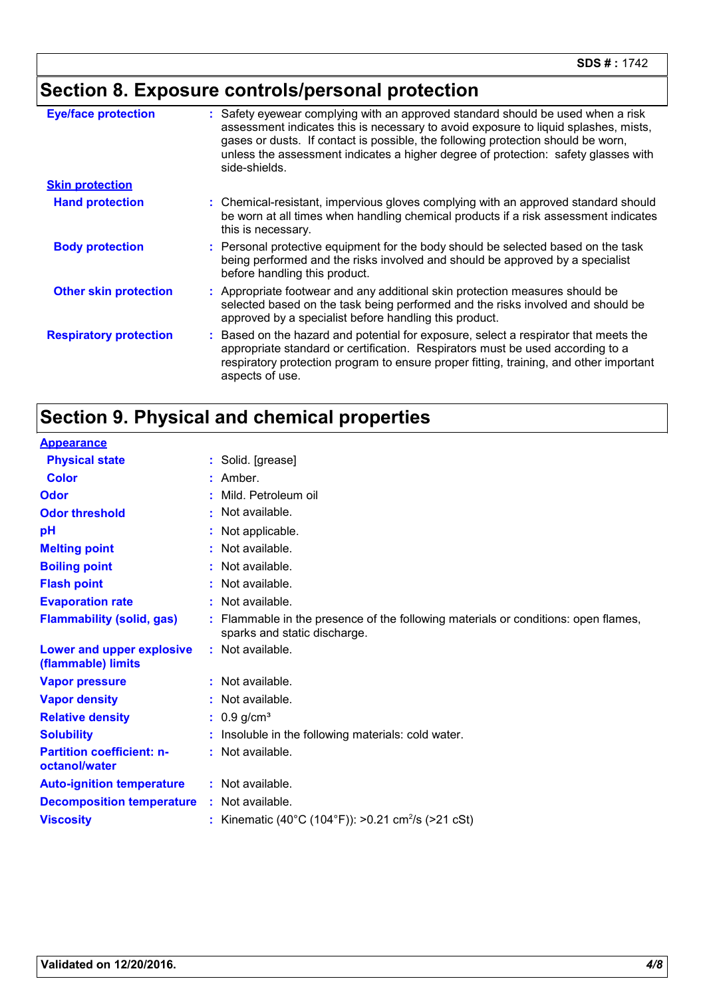## **Section 8. Exposure controls/personal protection**

| <b>Eye/face protection</b>    | : Safety eyewear complying with an approved standard should be used when a risk<br>assessment indicates this is necessary to avoid exposure to liquid splashes, mists,<br>gases or dusts. If contact is possible, the following protection should be worn,<br>unless the assessment indicates a higher degree of protection: safety glasses with<br>side-shields. |
|-------------------------------|-------------------------------------------------------------------------------------------------------------------------------------------------------------------------------------------------------------------------------------------------------------------------------------------------------------------------------------------------------------------|
| <b>Skin protection</b>        |                                                                                                                                                                                                                                                                                                                                                                   |
| <b>Hand protection</b>        | : Chemical-resistant, impervious gloves complying with an approved standard should<br>be worn at all times when handling chemical products if a risk assessment indicates<br>this is necessary.                                                                                                                                                                   |
| <b>Body protection</b>        | : Personal protective equipment for the body should be selected based on the task<br>being performed and the risks involved and should be approved by a specialist<br>before handling this product.                                                                                                                                                               |
| <b>Other skin protection</b>  | : Appropriate footwear and any additional skin protection measures should be<br>selected based on the task being performed and the risks involved and should be<br>approved by a specialist before handling this product.                                                                                                                                         |
| <b>Respiratory protection</b> | : Based on the hazard and potential for exposure, select a respirator that meets the<br>appropriate standard or certification. Respirators must be used according to a<br>respiratory protection program to ensure proper fitting, training, and other important<br>aspects of use.                                                                               |

### **Section 9. Physical and chemical properties**

| <b>Appearance</b>                                 |                                                                                                                  |
|---------------------------------------------------|------------------------------------------------------------------------------------------------------------------|
| <b>Physical state</b>                             | : Solid. [grease]                                                                                                |
| <b>Color</b>                                      | Amber.                                                                                                           |
| Odor                                              | Mild. Petroleum oil                                                                                              |
| <b>Odor threshold</b>                             | : Not available.                                                                                                 |
| pH                                                | Not applicable.                                                                                                  |
| <b>Melting point</b>                              | : Not available.                                                                                                 |
| <b>Boiling point</b>                              | : Not available.                                                                                                 |
| <b>Flash point</b>                                | : Not available.                                                                                                 |
| <b>Evaporation rate</b>                           | : Not available.                                                                                                 |
| <b>Flammability (solid, gas)</b>                  | Flammable in the presence of the following materials or conditions: open flames,<br>sparks and static discharge. |
| Lower and upper explosive<br>(flammable) limits   | : Not available.                                                                                                 |
| <b>Vapor pressure</b>                             | : Not available.                                                                                                 |
| <b>Vapor density</b>                              | : Not available.                                                                                                 |
| <b>Relative density</b>                           | $: 0.9$ g/cm <sup>3</sup>                                                                                        |
| <b>Solubility</b>                                 | Insoluble in the following materials: cold water.                                                                |
| <b>Partition coefficient: n-</b><br>octanol/water | : Not available.                                                                                                 |
| <b>Auto-ignition temperature</b>                  | : Not available.                                                                                                 |
| <b>Decomposition temperature</b>                  | : Not available.                                                                                                 |
| <b>Viscosity</b>                                  | : Kinematic (40°C (104°F)): >0.21 cm <sup>2</sup> /s (>21 cSt)                                                   |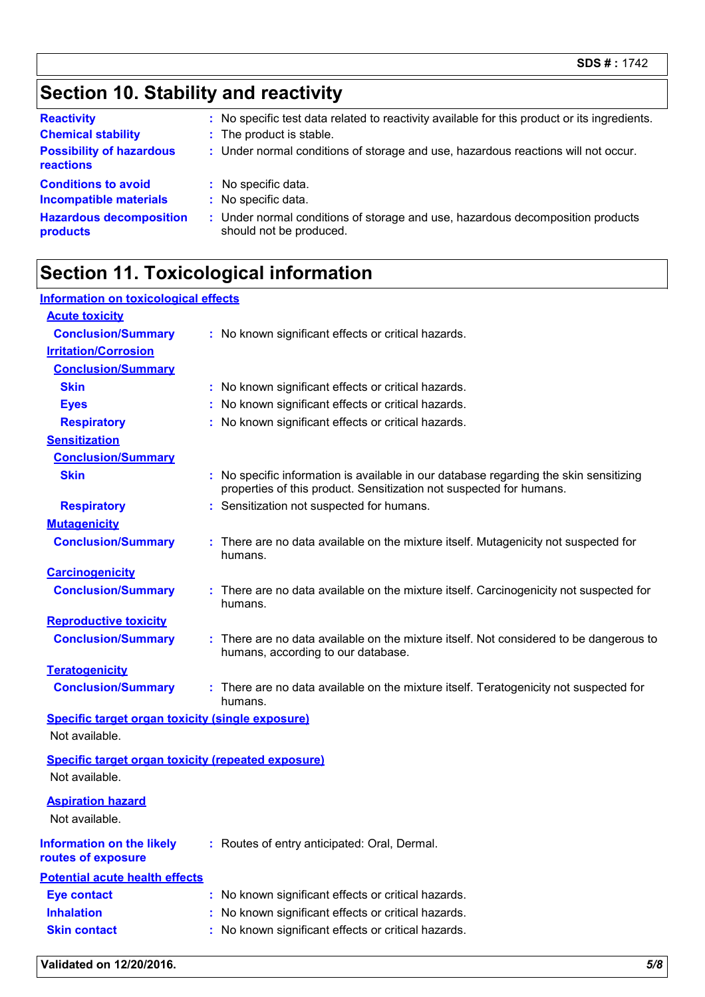### **Section 10. Stability and reactivity**

| <b>Reactivity</b>                                           | : No specific test data related to reactivity available for this product or its ingredients.              |
|-------------------------------------------------------------|-----------------------------------------------------------------------------------------------------------|
| <b>Chemical stability</b>                                   | : The product is stable.                                                                                  |
| <b>Possibility of hazardous</b><br>reactions                | : Under normal conditions of storage and use, hazardous reactions will not occur.                         |
| <b>Conditions to avoid</b><br><b>Incompatible materials</b> | : No specific data.<br>: No specific data.                                                                |
| <b>Hazardous decomposition</b><br>products                  | : Under normal conditions of storage and use, hazardous decomposition products<br>should not be produced. |

### **Section 11. Toxicological information**

| Information on toxicological effects                                        |                                                                                                                                                              |
|-----------------------------------------------------------------------------|--------------------------------------------------------------------------------------------------------------------------------------------------------------|
| <b>Acute toxicity</b>                                                       |                                                                                                                                                              |
| <b>Conclusion/Summary</b>                                                   | : No known significant effects or critical hazards.                                                                                                          |
| <b>Irritation/Corrosion</b>                                                 |                                                                                                                                                              |
| <b>Conclusion/Summary</b>                                                   |                                                                                                                                                              |
| <b>Skin</b>                                                                 | No known significant effects or critical hazards.                                                                                                            |
| <b>Eyes</b>                                                                 | No known significant effects or critical hazards.                                                                                                            |
| <b>Respiratory</b>                                                          | No known significant effects or critical hazards.                                                                                                            |
| <b>Sensitization</b>                                                        |                                                                                                                                                              |
| <b>Conclusion/Summary</b>                                                   |                                                                                                                                                              |
| <b>Skin</b>                                                                 | : No specific information is available in our database regarding the skin sensitizing<br>properties of this product. Sensitization not suspected for humans. |
| <b>Respiratory</b>                                                          | : Sensitization not suspected for humans.                                                                                                                    |
| <b>Mutagenicity</b>                                                         |                                                                                                                                                              |
| <b>Conclusion/Summary</b>                                                   | : There are no data available on the mixture itself. Mutagenicity not suspected for<br>humans.                                                               |
| <b>Carcinogenicity</b>                                                      |                                                                                                                                                              |
| <b>Conclusion/Summary</b>                                                   | There are no data available on the mixture itself. Carcinogenicity not suspected for<br>humans.                                                              |
| <b>Reproductive toxicity</b>                                                |                                                                                                                                                              |
| <b>Conclusion/Summary</b>                                                   | : There are no data available on the mixture itself. Not considered to be dangerous to<br>humans, according to our database.                                 |
| <b>Teratogenicity</b>                                                       |                                                                                                                                                              |
| <b>Conclusion/Summary</b>                                                   | : There are no data available on the mixture itself. Teratogenicity not suspected for<br>humans.                                                             |
| <b>Specific target organ toxicity (single exposure)</b>                     |                                                                                                                                                              |
| Not available.                                                              |                                                                                                                                                              |
| <b>Specific target organ toxicity (repeated exposure)</b><br>Not available. |                                                                                                                                                              |
| <b>Aspiration hazard</b><br>Not available.                                  |                                                                                                                                                              |
| <b>Information on the likely</b><br>routes of exposure                      | : Routes of entry anticipated: Oral, Dermal.                                                                                                                 |
| <b>Potential acute health effects</b>                                       |                                                                                                                                                              |
| <b>Eye contact</b>                                                          | No known significant effects or critical hazards.                                                                                                            |
| <b>Inhalation</b>                                                           | No known significant effects or critical hazards.                                                                                                            |
| <b>Skin contact</b>                                                         | No known significant effects or critical hazards.                                                                                                            |
|                                                                             |                                                                                                                                                              |

**Validated on 12/20/2016.** *5/8*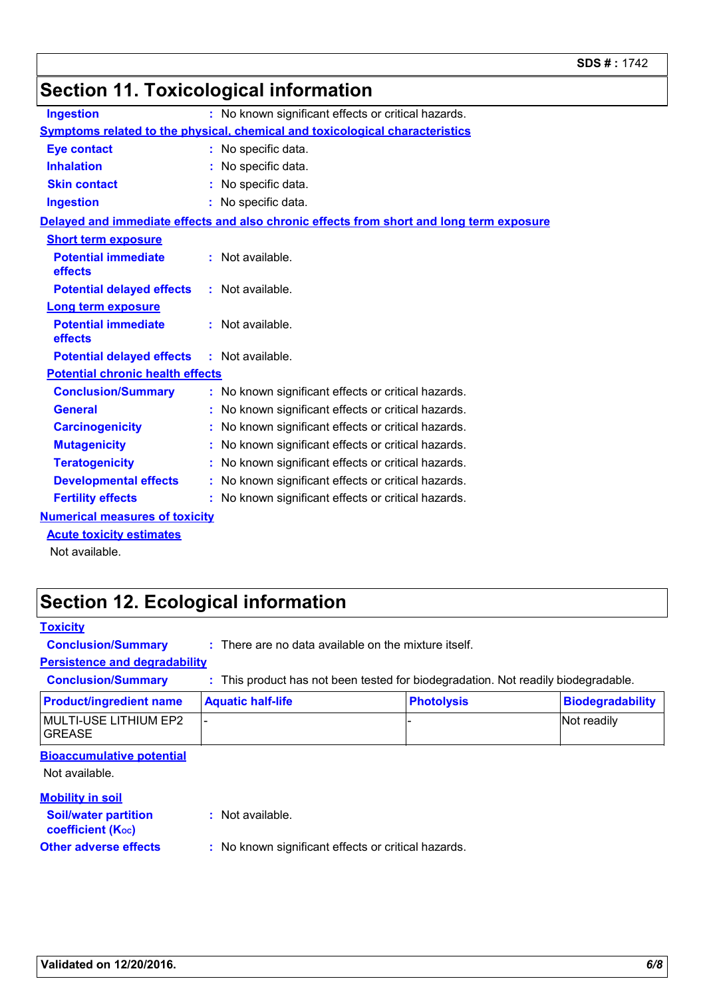#### **Section 11. Toxicological information Conclusion/Summary :** No known significant effects or critical hazards. **Ingestion :** No known significant effects or critical hazards. **General :** No known significant effects or critical hazards. **Carcinogenicity** : No known significant effects or critical hazards. **Mutagenicity :** No known significant effects or critical hazards. **Teratogenicity :** No known significant effects or critical hazards. **Developmental effects :** No known significant effects or critical hazards. **Fertility effects :** No known significant effects or critical hazards. **Symptoms related to the physical, chemical and toxicological characteristics Skin contact Ingestion Inhalation :** No specific data. No specific data. **:** No specific data. **: Eye contact :** No specific data. **Potential chronic health effects Delayed and immediate effects and also chronic effects from short and long term exposure Numerical measures of toxicity Potential immediate effects :** Not available. **Short term exposure Potential delayed effects :** Not available. **Potential immediate effects :** Not available. **Long term exposure Potential delayed effects :** Not available.

#### **Acute toxicity estimates**

Not available.

### **Section 12. Ecological information**

| <b>Toxicity</b>                                         |                                                        |                                                                                 |                         |
|---------------------------------------------------------|--------------------------------------------------------|---------------------------------------------------------------------------------|-------------------------|
| <b>Conclusion/Summary</b>                               | $:$ There are no data available on the mixture itself. |                                                                                 |                         |
| <b>Persistence and degradability</b>                    |                                                        |                                                                                 |                         |
| <b>Conclusion/Summary</b>                               |                                                        | This product has not been tested for biodegradation. Not readily biodegradable. |                         |
| <b>Product/ingredient name</b>                          | <b>Aquatic half-life</b>                               | <b>Photolysis</b>                                                               | <b>Biodegradability</b> |
| <b>MULTI-USE LITHIUM EP2</b><br><b>GREASE</b>           |                                                        |                                                                                 | Not readily             |
| <b>Bioaccumulative potential</b>                        |                                                        |                                                                                 |                         |
| Not available.                                          |                                                        |                                                                                 |                         |
| <b>Mobility in soil</b>                                 |                                                        |                                                                                 |                         |
| <b>Soil/water partition</b><br><b>coefficient (Koc)</b> | : Not available.                                       |                                                                                 |                         |
| <b>Other adverse effects</b>                            | : No known significant effects or critical hazards.    |                                                                                 |                         |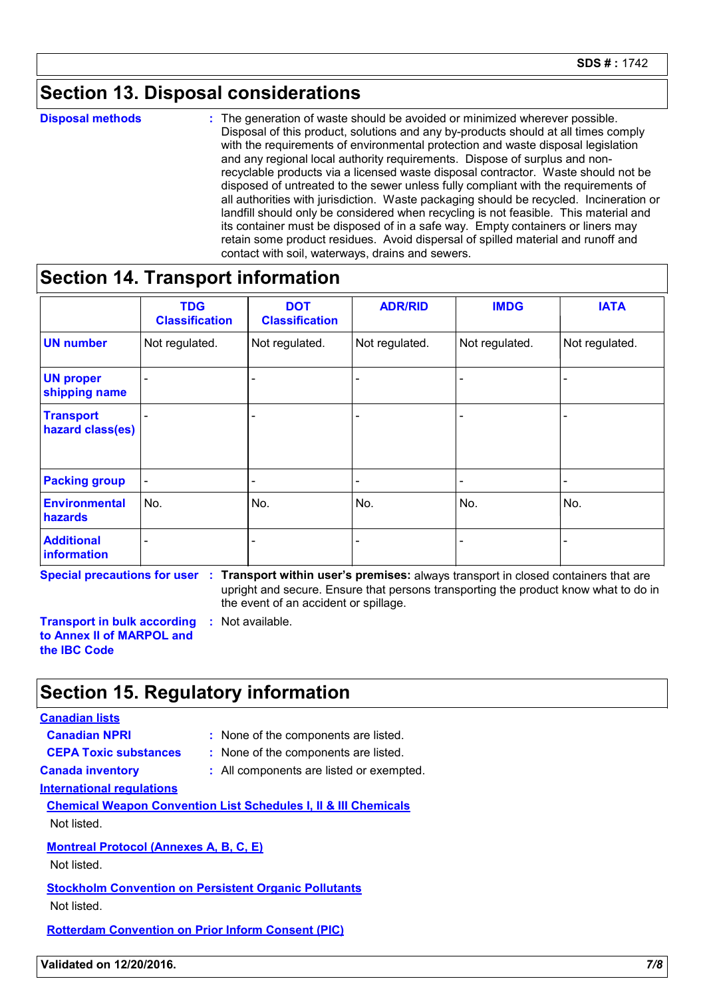### **Section 13. Disposal considerations**

**Disposal methods :**

The generation of waste should be avoided or minimized wherever possible. Disposal of this product, solutions and any by-products should at all times comply with the requirements of environmental protection and waste disposal legislation and any regional local authority requirements. Dispose of surplus and nonrecyclable products via a licensed waste disposal contractor. Waste should not be disposed of untreated to the sewer unless fully compliant with the requirements of all authorities with jurisdiction. Waste packaging should be recycled. Incineration or landfill should only be considered when recycling is not feasible. This material and its container must be disposed of in a safe way. Empty containers or liners may retain some product residues. Avoid dispersal of spilled material and runoff and contact with soil, waterways, drains and sewers.

#### **Section 14. Transport information**

|                                      | <b>TDG</b><br><b>Classification</b> | <b>DOT</b><br><b>Classification</b> | <b>ADR/RID</b> | <b>IMDG</b>    | <b>IATA</b>    |
|--------------------------------------|-------------------------------------|-------------------------------------|----------------|----------------|----------------|
| <b>UN number</b>                     | Not regulated.                      | Not regulated.                      | Not regulated. | Not regulated. | Not regulated. |
| <b>UN proper</b><br>shipping name    |                                     |                                     |                |                |                |
| <b>Transport</b><br>hazard class(es) |                                     | -                                   |                |                |                |
| <b>Packing group</b>                 | $\blacksquare$                      | $\overline{\phantom{a}}$            | ۰              |                |                |
| <b>Environmental</b><br>hazards      | No.                                 | No.                                 | No.            | No.            | No.            |
| <b>Additional</b><br>information     | $\overline{\phantom{0}}$            | $\overline{\phantom{0}}$            |                |                |                |

**Special precautions for user Transport within user's premises:** always transport in closed containers that are **:** upright and secure. Ensure that persons transporting the product know what to do in the event of an accident or spillage.

**Transport in bulk according to Annex II of MARPOL and the IBC Code :** Not available.

### **Section 15. Regulatory information**

#### **Canadian lists**

- 
- **Canadian NPRI :** None of the components are listed.

- **CEPA Toxic substances :** None of the components are listed.
- 
- **Canada inventory :** All components are listed or exempted.

#### **International regulations**

**Chemical Weapon Convention List Schedules I, II & III Chemicals** Not listed.

#### **Montreal Protocol (Annexes A, B, C, E)**

Not listed.

#### **Stockholm Convention on Persistent Organic Pollutants**

Not listed.

#### **Rotterdam Convention on Prior Inform Consent (PIC)**

**Validated on 12/20/2016.** *7/8*